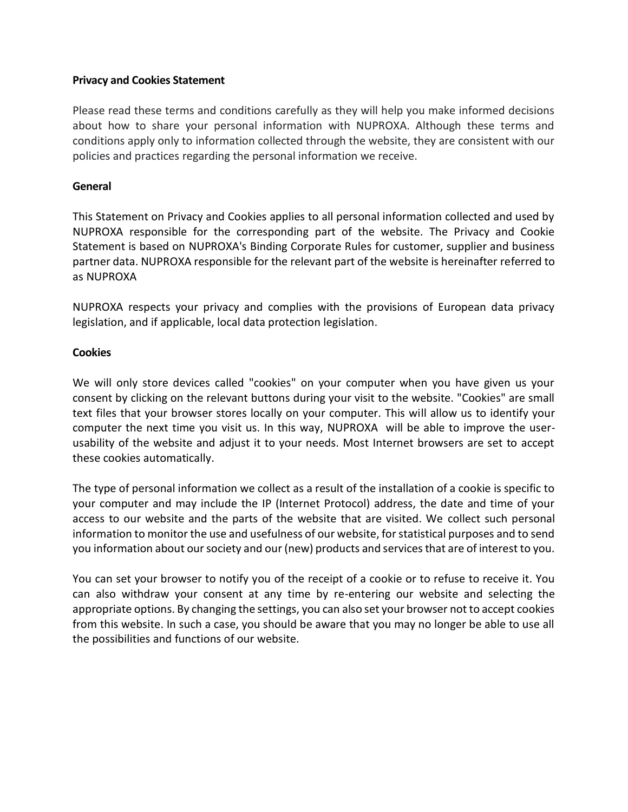## **Privacy and Cookies Statement**

Please read these terms and conditions carefully as they will help you make informed decisions about how to share your personal information with NUPROXA. Although these terms and conditions apply only to information collected through the website, they are consistent with our policies and practices regarding the personal information we receive.

## **General**

This Statement on Privacy and Cookies applies to all personal information collected and used by NUPROXA responsible for the corresponding part of the website. The Privacy and Cookie Statement is based on NUPROXA's Binding Corporate Rules for customer, supplier and business partner data. NUPROXA responsible for the relevant part of the website is hereinafter referred to as NUPROXA

NUPROXA respects your privacy and complies with the provisions of European data privacy legislation, and if applicable, local data protection legislation.

## **Cookies**

We will only store devices called "cookies" on your computer when you have given us your consent by clicking on the relevant buttons during your visit to the website. "Cookies" are small text files that your browser stores locally on your computer. This will allow us to identify your computer the next time you visit us. In this way, NUPROXA will be able to improve the userusability of the website and adjust it to your needs. Most Internet browsers are set to accept these cookies automatically.

The type of personal information we collect as a result of the installation of a cookie is specific to your computer and may include the IP (Internet Protocol) address, the date and time of your access to our website and the parts of the website that are visited. We collect such personal information to monitor the use and usefulness of our website, for statistical purposes and to send you information about our society and our (new) products and services that are of interest to you.

You can set your browser to notify you of the receipt of a cookie or to refuse to receive it. You can also withdraw your consent at any time by re-entering our website and selecting the appropriate options. By changing the settings, you can also set your browser not to accept cookies from this website. In such a case, you should be aware that you may no longer be able to use all the possibilities and functions of our website.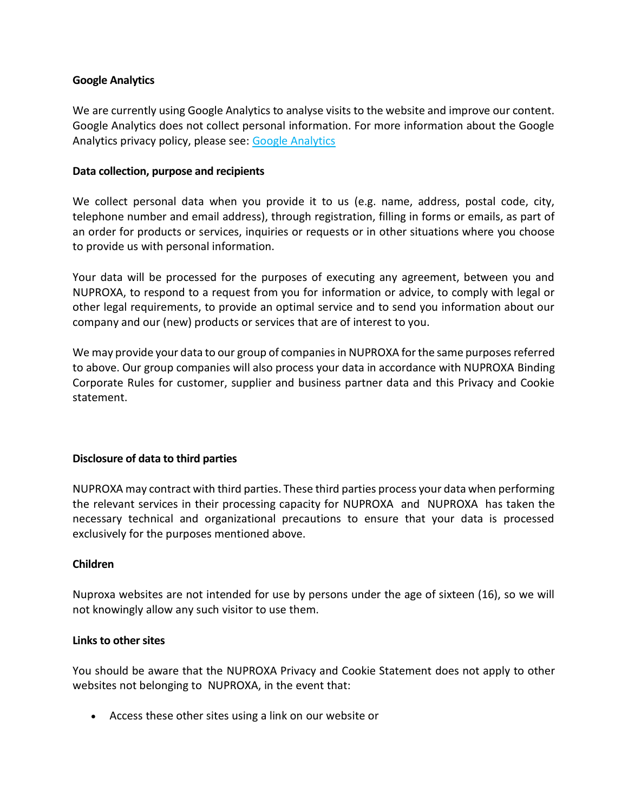## **Google Analytics**

We are currently using Google Analytics to analyse visits to the website and improve our content. Google Analytics does not collect personal information. For more information about the Google Analytics privacy policy, please see: [Google Analytics](https://marketingplatform.google.com/about/analytics/)

## **Data collection, purpose and recipients**

We collect personal data when you provide it to us (e.g. name, address, postal code, city, telephone number and email address), through registration, filling in forms or emails, as part of an order for products or services, inquiries or requests or in other situations where you choose to provide us with personal information.

Your data will be processed for the purposes of executing any agreement, between you and NUPROXA, to respond to a request from you for information or advice, to comply with legal or other legal requirements, to provide an optimal service and to send you information about our company and our (new) products or services that are of interest to you.

We may provide your data to our group of companies in NUPROXA for the same purposes referred to above. Our group companies will also process your data in accordance with NUPROXA Binding Corporate Rules for customer, supplier and business partner data and this Privacy and Cookie statement.

## **Disclosure of data to third parties**

NUPROXA may contract with third parties. These third parties process your data when performing the relevant services in their processing capacity for NUPROXA and NUPROXA has taken the necessary technical and organizational precautions to ensure that your data is processed exclusively for the purposes mentioned above.

## **Children**

Nuproxa websites are not intended for use by persons under the age of sixteen (16), so we will not knowingly allow any such visitor to use them.

#### **Links to other sites**

You should be aware that the NUPROXA Privacy and Cookie Statement does not apply to other websites not belonging to NUPROXA, in the event that:

• Access these other sites using a link on our website or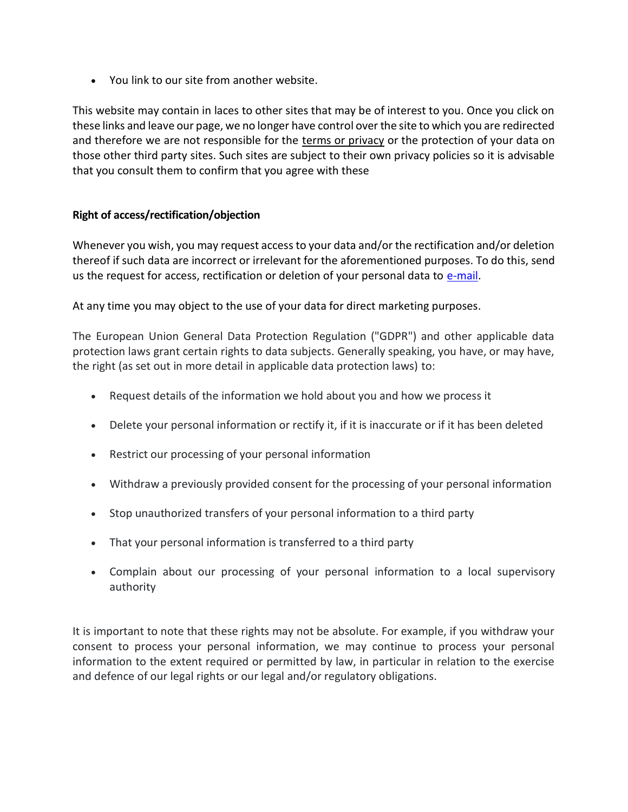• You link to our site from another website.

This website may contain in laces to other sites that may be of interest to you. Once you click on these links and leave our page, we no longer have control over the site to which you are redirected and therefore we are not responsible for the terms or [privacy](https://plantillaterminosycondicionestiendaonline.com/) or the protection of your data on those other third party sites. Such sites are subject to their own privacy policies so it is advisable that you consult them to confirm that you agree with these

# **Right of access/rectification/objection**

Whenever you wish, you may request access to your data and/or the rectification and/or deletion thereof if such data are incorrect or irrelevant for the aforementioned purposes. To do this, send us the request for access, rectification or deletion of your personal data to [e-mail.](mailto:info@nuproxa.ch?subject=Data%20Protection%20)

At any time you may object to the use of your data for direct marketing purposes.

The European Union General Data Protection Regulation ("GDPR") and other applicable data protection laws grant certain rights to data subjects. Generally speaking, you have, or may have, the right (as set out in more detail in applicable data protection laws) to:

- Request details of the information we hold about you and how we process it
- Delete your personal information or rectify it, if it is inaccurate or if it has been deleted
- Restrict our processing of your personal information
- Withdraw a previously provided consent for the processing of your personal information
- Stop unauthorized transfers of your personal information to a third party
- That your personal information is transferred to a third party
- Complain about our processing of your personal information to a local supervisory authority

It is important to note that these rights may not be absolute. For example, if you withdraw your consent to process your personal information, we may continue to process your personal information to the extent required or permitted by law, in particular in relation to the exercise and defence of our legal rights or our legal and/or regulatory obligations.